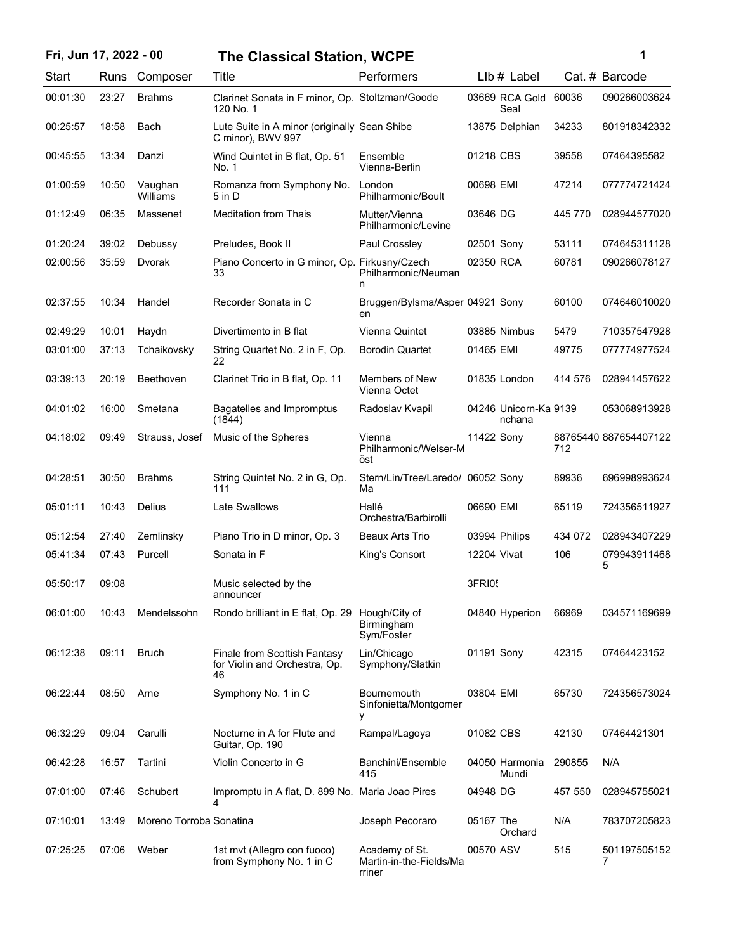| Fri, Jun 17, 2022 - 00 |       |                         | <b>The Classical Station, WCPE</b>                                  |                                                     | 1                               |         |                       |
|------------------------|-------|-------------------------|---------------------------------------------------------------------|-----------------------------------------------------|---------------------------------|---------|-----------------------|
| Start                  |       | Runs Composer           | Title                                                               | Performers                                          | $Llb#$ Label                    |         | Cat. # Barcode        |
| 00:01:30               | 23:27 | <b>Brahms</b>           | Clarinet Sonata in F minor, Op. Stoltzman/Goode<br>120 No. 1        |                                                     | 03669 RCA Gold<br>Seal          | 60036   | 090266003624          |
| 00:25:57               | 18:58 | <b>Bach</b>             | Lute Suite in A minor (originally Sean Shibe<br>C minor), BWV 997   |                                                     | 13875 Delphian                  | 34233   | 801918342332          |
| 00:45:55               | 13:34 | Danzi                   | Wind Quintet in B flat, Op. 51<br>No. 1                             | Ensemble<br>Vienna-Berlin                           | 01218 CBS                       | 39558   | 07464395582           |
| 01:00:59               | 10:50 | Vaughan<br>Williams     | Romanza from Symphony No.<br>5 in D                                 | London<br>Philharmonic/Boult                        | 00698 EMI                       | 47214   | 077774721424          |
| 01:12:49               | 06:35 | Massenet                | <b>Meditation from Thais</b>                                        | Mutter/Vienna<br>Philharmonic/Levine                | 03646 DG                        | 445 770 | 028944577020          |
| 01:20:24               | 39:02 | Debussy                 | Preludes, Book II                                                   | Paul Crossley                                       | 02501 Sony                      | 53111   | 074645311128          |
| 02:00:56               | 35:59 | Dvorak                  | Piano Concerto in G minor, Op. Firkusny/Czech<br>33                 | Philharmonic/Neuman<br>n                            | 02350 RCA                       | 60781   | 090266078127          |
| 02:37:55               | 10:34 | Handel                  | Recorder Sonata in C                                                | Bruggen/Bylsma/Asper 04921 Sony<br>en               |                                 | 60100   | 074646010020          |
| 02:49:29               | 10:01 | Haydn                   | Divertimento in B flat                                              | Vienna Quintet                                      | 03885 Nimbus                    | 5479    | 710357547928          |
| 03:01:00               | 37:13 | Tchaikovsky             | String Quartet No. 2 in F, Op.<br>22                                | <b>Borodin Quartet</b>                              | 01465 EMI                       | 49775   | 077774977524          |
| 03:39:13               | 20:19 | Beethoven               | Clarinet Trio in B flat, Op. 11                                     | Members of New<br>Vienna Octet                      | 01835 London                    | 414 576 | 028941457622          |
| 04:01:02               | 16:00 | Smetana                 | Bagatelles and Impromptus<br>(1844)                                 | Radoslav Kvapil                                     | 04246 Unicorn-Ka 9139<br>nchana |         | 053068913928          |
| 04:18:02               | 09:49 | Strauss, Josef          | Music of the Spheres                                                | Vienna<br>Philharmonic/Welser-M<br>öst              | 11422 Sony                      | 712     | 88765440 887654407122 |
| 04:28:51               | 30:50 | <b>Brahms</b>           | String Quintet No. 2 in G, Op.<br>111                               | Stern/Lin/Tree/Laredo/ 06052 Sony<br>Ma             |                                 | 89936   | 696998993624          |
| 05:01:11               | 10:43 | Delius                  | Late Swallows                                                       | Hallé<br>Orchestra/Barbirolli                       | 06690 EMI                       | 65119   | 724356511927          |
| 05:12:54               | 27:40 | Zemlinsky               | Piano Trio in D minor, Op. 3                                        | <b>Beaux Arts Trio</b>                              | 03994 Philips                   | 434 072 | 028943407229          |
| 05:41:34               | 07:43 | Purcell                 | Sonata in F                                                         | King's Consort                                      | 12204 Vivat                     | 106     | 079943911468<br>5     |
| 05:50:17               | 09:08 |                         | Music selected by the<br>announcer                                  |                                                     | 3FRI05                          |         |                       |
| 06:01:00               | 10:43 | Mendelssohn             | Rondo brilliant in E flat, Op. 29                                   | Hough/City of<br><b>Birmingham</b><br>Sym/Foster    | 04840 Hyperion                  | 66969   | 034571169699          |
| 06:12:38               | 09:11 | <b>Bruch</b>            | Finale from Scottish Fantasy<br>for Violin and Orchestra, Op.<br>46 | Lin/Chicago<br>Symphony/Slatkin                     | 01191 Sony                      | 42315   | 07464423152           |
| 06:22:44               | 08:50 | Arne                    | Symphony No. 1 in C                                                 | Bournemouth<br>Sinfonietta/Montgomer<br>у           | 03804 EMI                       | 65730   | 724356573024          |
| 06:32:29               | 09:04 | Carulli                 | Nocturne in A for Flute and<br>Guitar, Op. 190                      | Rampal/Lagoya                                       | 01082 CBS                       | 42130   | 07464421301           |
| 06:42:28               | 16:57 | Tartini                 | Violin Concerto in G                                                | Banchini/Ensemble<br>415                            | 04050 Harmonia<br>Mundi         | 290855  | N/A                   |
| 07:01:00               | 07:46 | Schubert                | Impromptu in A flat, D. 899 No. Maria Joao Pires                    |                                                     | 04948 DG                        | 457 550 | 028945755021          |
| 07:10:01               | 13:49 | Moreno Torroba Sonatina |                                                                     | Joseph Pecoraro                                     | 05167 The<br>Orchard            | N/A     | 783707205823          |
| 07:25:25               | 07:06 | Weber                   | 1st mvt (Allegro con fuoco)<br>from Symphony No. 1 in C             | Academy of St.<br>Martin-in-the-Fields/Ma<br>rriner | 00570 ASV                       | 515     | 501197505152<br>7     |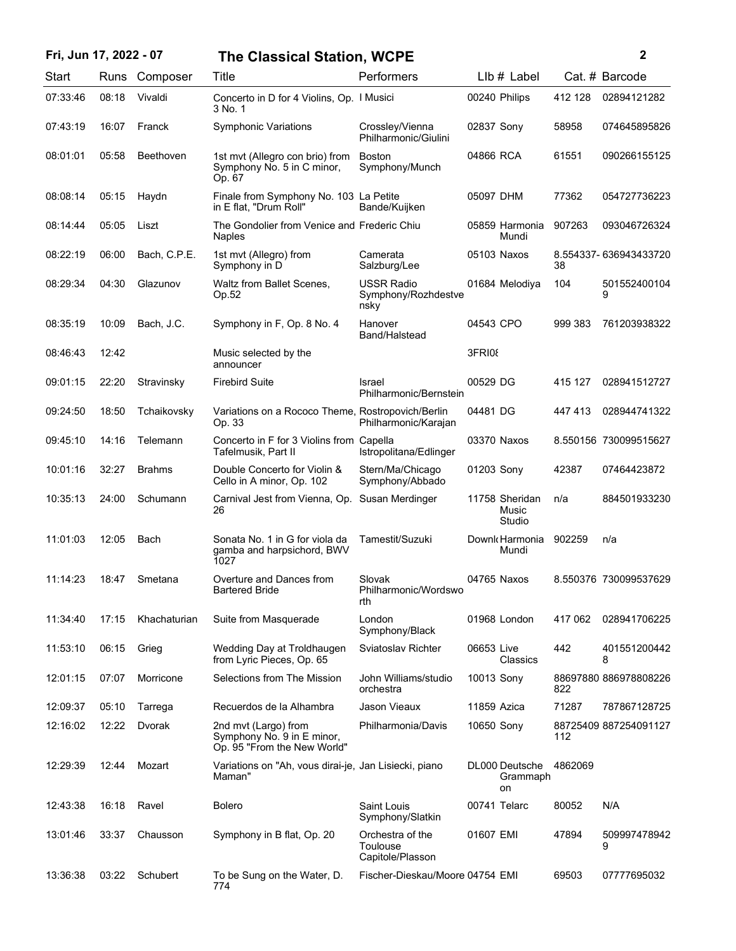| Fri, Jun 17, 2022 - 07 |       |               | <b>The Classical Station, WCPE</b>                                                |                                                  |               |                                   |         | 2                     |
|------------------------|-------|---------------|-----------------------------------------------------------------------------------|--------------------------------------------------|---------------|-----------------------------------|---------|-----------------------|
| <b>Start</b>           | Runs  | Composer      | Title                                                                             | Performers                                       |               | $Llb#$ Label                      |         | Cat. # Barcode        |
| 07:33:46               | 08:18 | Vivaldi       | Concerto in D for 4 Violins, Op. 1 Musici<br>3 No. 1                              |                                                  |               | 00240 Philips                     | 412 128 | 02894121282           |
| 07:43:19               | 16:07 | Franck        | <b>Symphonic Variations</b>                                                       | Crossley/Vienna<br>Philharmonic/Giulini          | 02837 Sony    |                                   | 58958   | 074645895826          |
| 08:01:01               | 05:58 | Beethoven     | 1st myt (Allegro con brio) from<br>Symphony No. 5 in C minor,<br>Op. 67           | <b>Boston</b><br>Symphony/Munch                  | 04866 RCA     |                                   | 61551   | 090266155125          |
| 08:08:14               | 05:15 | Haydn         | Finale from Symphony No. 103 La Petite<br>in E flat, "Drum Roll"                  | Bande/Kuijken                                    | 05097 DHM     |                                   | 77362   | 054727736223          |
| 08:14:44               | 05:05 | Liszt         | The Gondolier from Venice and Frederic Chiu<br><b>Naples</b>                      |                                                  |               | 05859 Harmonia<br>Mundi           | 907263  | 093046726324          |
| 08:22:19               | 06:00 | Bach, C.P.E.  | 1st mvt (Allegro) from<br>Symphony in D                                           | Camerata<br>Salzburg/Lee                         |               | 05103 Naxos                       | 38      | 8.554337-636943433720 |
| 08:29:34               | 04:30 | Glazunov      | Waltz from Ballet Scenes,<br>Op.52                                                | <b>USSR Radio</b><br>Symphony/Rozhdestve<br>nsky |               | 01684 Melodiya                    | 104     | 501552400104<br>9     |
| 08:35:19               | 10:09 | Bach, J.C.    | Symphony in F, Op. 8 No. 4                                                        | Hanover<br>Band/Halstead                         | 04543 CPO     |                                   | 999 383 | 761203938322          |
| 08:46:43               | 12:42 |               | Music selected by the<br>announcer                                                |                                                  | <b>3FRI08</b> |                                   |         |                       |
| 09:01:15               | 22:20 | Stravinsky    | <b>Firebird Suite</b>                                                             | Israel<br>Philharmonic/Bernstein                 | 00529 DG      |                                   | 415 127 | 028941512727          |
| 09:24:50               | 18:50 | Tchaikovsky   | Variations on a Rococo Theme, Rostropovich/Berlin<br>Op. 33                       | Philharmonic/Karajan                             | 04481 DG      |                                   | 447413  | 028944741322          |
| 09:45:10               | 14:16 | Telemann      | Concerto in F for 3 Violins from Capella<br>Tafelmusik, Part II                   | Istropolitana/Edlinger                           |               | 03370 Naxos                       |         | 8.550156 730099515627 |
| 10:01:16               | 32:27 | <b>Brahms</b> | Double Concerto for Violin &<br>Cello in A minor, Op. 102                         | Stern/Ma/Chicago<br>Symphony/Abbado              | 01203 Sony    |                                   | 42387   | 07464423872           |
| 10:35:13               | 24:00 | Schumann      | Carnival Jest from Vienna, Op.<br>26                                              | Susan Merdinger                                  |               | 11758 Sheridan<br>Music<br>Studio | n/a     | 884501933230          |
| 11:01:03               | 12:05 | Bach          | Sonata No. 1 in G for viola da<br>gamba and harpsichord, BWV<br>1027              | Tamestit/Suzuki                                  |               | Downk Harmonia<br>Mundi           | 902259  | n/a                   |
| 11:14:23               | 18:47 | Smetana       | Overture and Dances from<br><b>Bartered Bride</b>                                 | Slovak<br>Philharmonic/Wordswo<br>rth            |               | 04765 Naxos                       |         | 8.550376 730099537629 |
| 11:34:40               | 17:15 | Khachaturian  | Suite from Masquerade                                                             | London<br>Symphony/Black                         |               | 01968 London                      | 417 062 | 028941706225          |
| 11:53:10               | 06:15 | Grieg         | Wedding Day at Troldhaugen<br>from Lyric Pieces, Op. 65                           | Sviatoslav Richter                               | 06653 Live    | Classics                          | 442     | 401551200442<br>8     |
| 12:01:15               | 07:07 | Morricone     | Selections from The Mission                                                       | John Williams/studio<br>orchestra                | 10013 Sony    |                                   | 822     | 88697880 886978808226 |
| 12:09:37               | 05:10 | Tarrega       | Recuerdos de la Alhambra                                                          | Jason Vieaux                                     | 11859 Azica   |                                   | 71287   | 787867128725          |
| 12:16:02               | 12:22 | Dvorak        | 2nd mvt (Largo) from<br>Symphony No. 9 in E minor,<br>Op. 95 "From the New World" | Philharmonia/Davis                               | 10650 Sony    |                                   | 112     | 88725409 887254091127 |
| 12:29:39               | 12:44 | Mozart        | Variations on "Ah, vous dirai-je, Jan Lisiecki, piano<br>Maman"                   |                                                  |               | DL000 Deutsche<br>Grammaph<br>on  | 4862069 |                       |
| 12:43:38               | 16:18 | Ravel         | <b>Bolero</b>                                                                     | Saint Louis<br>Symphony/Slatkin                  |               | 00741 Telarc                      | 80052   | N/A                   |
| 13:01:46               | 33:37 | Chausson      | Symphony in B flat, Op. 20                                                        | Orchestra of the<br>Toulouse<br>Capitole/Plasson | 01607 EMI     |                                   | 47894   | 509997478942<br>9     |
| 13:36:38               | 03:22 | Schubert      | To be Sung on the Water, D.<br>774                                                | Fischer-Dieskau/Moore 04754 EMI                  |               |                                   | 69503   | 07777695032           |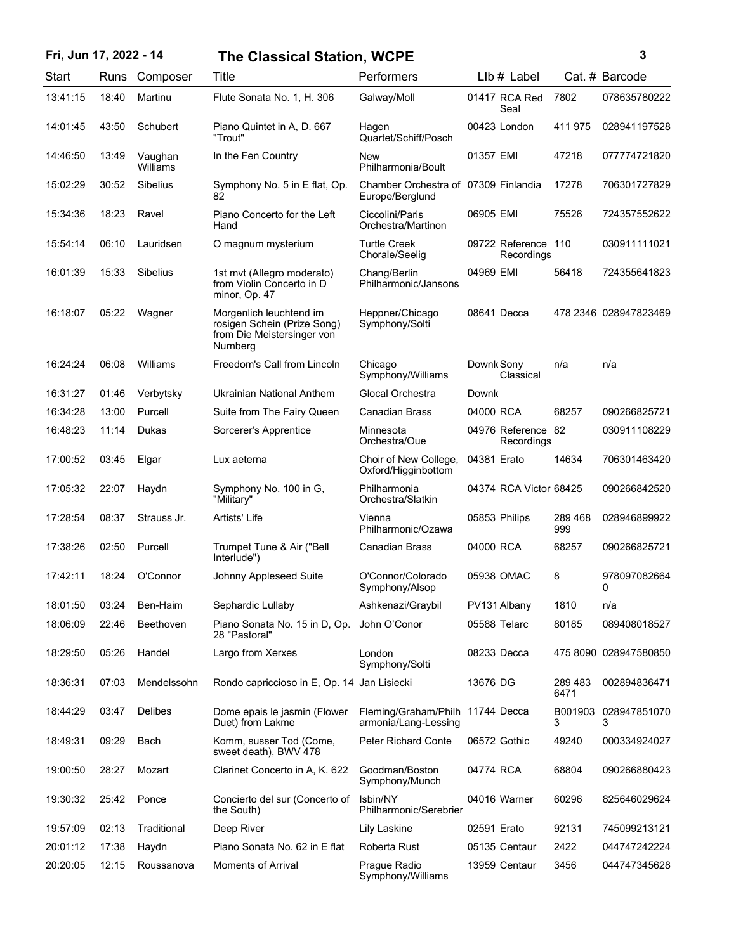## **Fri, Jun 17, 2022 - 14 3 The Classical Station, WCPE**

| ٦ |        |  |
|---|--------|--|
|   |        |  |
|   |        |  |
|   | I<br>I |  |

| Start    | Runs  | Composer            | Title                                                                                            | Performers                                               | Llb # Label                       |                 | Cat. # Barcode        |
|----------|-------|---------------------|--------------------------------------------------------------------------------------------------|----------------------------------------------------------|-----------------------------------|-----------------|-----------------------|
| 13:41:15 | 18:40 | Martinu             | Flute Sonata No. 1, H. 306                                                                       | Galway/Moll                                              | 01417 RCA Red<br>Seal             | 7802            | 078635780222          |
| 14:01:45 | 43:50 | Schubert            | Piano Quintet in A, D. 667<br>"Trout"                                                            | Hagen<br>Quartet/Schiff/Posch                            | 00423 London                      | 411 975         | 028941197528          |
| 14:46:50 | 13:49 | Vaughan<br>Williams | In the Fen Country                                                                               | New<br>Philharmonia/Boult                                | 01357 EMI                         | 47218           | 077774721820          |
| 15:02:29 | 30:52 | <b>Sibelius</b>     | Symphony No. 5 in E flat, Op.<br>82                                                              | Chamber Orchestra of 07309 Finlandia<br>Europe/Berglund  |                                   | 17278           | 706301727829          |
| 15:34:36 | 18:23 | Ravel               | Piano Concerto for the Left<br>Hand                                                              | Ciccolini/Paris<br>Orchestra/Martinon                    | 06905 EMI                         | 75526           | 724357552622          |
| 15:54:14 | 06:10 | Lauridsen           | O magnum mysterium                                                                               | <b>Turtle Creek</b><br>Chorale/Seelig                    | 09722 Reference 110<br>Recordings |                 | 030911111021          |
| 16:01:39 | 15:33 | <b>Sibelius</b>     | 1st mvt (Allegro moderato)<br>from Violin Concerto in D<br>minor, Op. 47                         | Chang/Berlin<br>Philharmonic/Jansons                     | 04969 EMI                         | 56418           | 724355641823          |
| 16:18:07 | 05:22 | Wagner              | Morgenlich leuchtend im<br>rosigen Schein (Prize Song)<br>from Die Meistersinger von<br>Nurnberg | Heppner/Chicago<br>Symphony/Solti                        | 08641 Decca                       |                 | 478 2346 028947823469 |
| 16:24:24 | 06:08 | Williams            | Freedom's Call from Lincoln                                                                      | Chicago<br>Symphony/Williams                             | Downk Sony<br>Classical           | n/a             | n/a                   |
| 16:31:27 | 01:46 | Verbytsky           | Ukrainian National Anthem                                                                        | Glocal Orchestra                                         | Downk                             |                 |                       |
| 16:34:28 | 13:00 | Purcell             | Suite from The Fairy Queen                                                                       | <b>Canadian Brass</b>                                    | 04000 RCA                         | 68257           | 090266825721          |
| 16:48:23 | 11:14 | Dukas               | Sorcerer's Apprentice                                                                            | Minnesota<br>Orchestra/Oue                               | 04976 Reference 82<br>Recordings  |                 | 030911108229          |
| 17:00:52 | 03:45 | Elgar               | Lux aeterna                                                                                      | Choir of New College,<br>Oxford/Higginbottom             | 04381 Erato                       | 14634           | 706301463420          |
| 17:05:32 | 22:07 | Haydn               | Symphony No. 100 in G,<br>"Military"                                                             | Philharmonia<br>Orchestra/Slatkin                        | 04374 RCA Victor 68425            |                 | 090266842520          |
| 17:28:54 | 08:37 | Strauss Jr.         | Artists' Life                                                                                    | Vienna<br>Philharmonic/Ozawa                             | 05853 Philips                     | 289 468<br>999  | 028946899922          |
| 17:38:26 | 02:50 | Purcell             | Trumpet Tune & Air ("Bell<br>Interlude")                                                         | <b>Canadian Brass</b>                                    | 04000 RCA                         | 68257           | 090266825721          |
| 17:42:11 | 18:24 | O'Connor            | Johnny Appleseed Suite                                                                           | O'Connor/Colorado<br>Symphony/Alsop                      | 05938 OMAC                        | 8               | 978097082664<br>0     |
| 18:01:50 | 03:24 | Ben-Haim            | Sephardic Lullaby                                                                                | Ashkenazi/Graybil                                        | PV131 Albany                      | 1810            | n/a                   |
| 18:06:09 | 22:46 | Beethoven           | Piano Sonata No. 15 in D, Op. John O'Conor<br>28 "Pastoral"                                      |                                                          | 05588 Telarc                      | 80185           | 089408018527          |
| 18:29:50 | 05:26 | Handel              | Largo from Xerxes                                                                                | London<br>Symphony/Solti                                 | 08233 Decca                       |                 | 475 8090 028947580850 |
| 18:36:31 | 07:03 | Mendelssohn         | Rondo capriccioso in E, Op. 14 Jan Lisiecki                                                      |                                                          | 13676 DG                          | 289 483<br>6471 | 002894836471          |
| 18:44:29 | 03:47 | Delibes             | Dome epais le jasmin (Flower<br>Duet) from Lakme                                                 | Fleming/Graham/Philh 11744 Decca<br>armonia/Lang-Lessing |                                   | B001903<br>3    | 028947851070<br>3     |
| 18:49:31 | 09:29 | Bach                | Komm, susser Tod (Come,<br>sweet death), BWV 478                                                 | <b>Peter Richard Conte</b>                               | 06572 Gothic                      | 49240           | 000334924027          |
| 19:00:50 | 28:27 | Mozart              | Clarinet Concerto in A, K. 622                                                                   | Goodman/Boston<br>Symphony/Munch                         | 04774 RCA                         | 68804           | 090266880423          |
| 19:30:32 | 25:42 | Ponce               | Concierto del sur (Concerto of<br>the South)                                                     | Isbin/NY<br>Philharmonic/Serebrier                       | 04016 Warner                      | 60296           | 825646029624          |
| 19:57:09 | 02:13 | Traditional         | Deep River                                                                                       | Lily Laskine                                             | 02591 Erato                       | 92131           | 745099213121          |
| 20:01:12 | 17:38 | Haydn               | Piano Sonata No. 62 in E flat                                                                    | Roberta Rust                                             | 05135 Centaur                     | 2422            | 044747242224          |
| 20:20:05 | 12:15 | Roussanova          | Moments of Arrival                                                                               | Prague Radio<br>Symphony/Williams                        | 13959 Centaur                     | 3456            | 044747345628          |